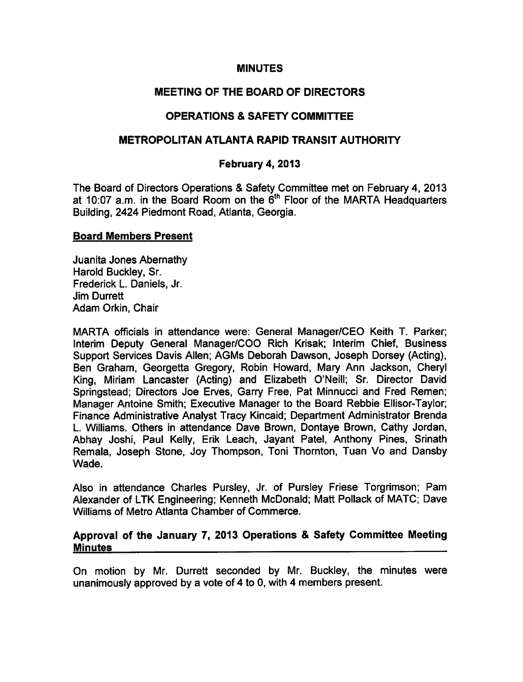#### **MINUTES**

# MEETING OF THE BOARD OF DIRECTORS

# OPERATIONS SAFETY COMMITTEE

## METROPOLITAN ATLANTA RAPID TRANSIT AUTHORITY

### February 4, 2013

The Board of Directors Operations & Safety Committee met on February 4, 2013 at 10:07 a.m. in the Board Room on the  $6<sup>th</sup>$  Floor of the MARTA Headquarters Building, 2424 Piedmont Road, Atlanta, Georgia.

#### Board Members Present

Juanita Jones Abernathy Harold Buckley, Sr. Frederick L. Daniels, Jr. Jim Durrett Adam Orkin, Chair

MARTA officials in attendance were: General Manager/CEO Keith T. Parker; Interim Deputy General Manager/COO Rich Krisak; Interim Chief, Business Support Services Davis Allen; AGMs Deborah Dawson, Joseph Dorsey (Acting), Ben Graham, Georgetta Gregory, Robin Howard, Mary Ann Jackson, Cheryl King, Miriam Lancaster (Acting) and Elizabeth O'Neill; Sr. Director David Springstead; Directors Joe Erves, Garry Free, Pat Minnucci and Fred Remen; Manager Antoine Smith; Executive Manager to the Board Rebbie Ellisor-Taylor; Finance Administrative Analyst Tracy Kincaid; Department Administrator Brenda L. Williams. Others in attendance Dave Brown, Dontaye Brown, Cathy Jordan, Abhay Joshi, Paul Kelly, Erik Leach, Jayant Patel, Anthony Pines, Srinath Remala, Joseph Stone, Joy Thompson, Toni Thornton, Tuan Vo and Dansby Wade.

Also in attendance Charles Pursley, Jr. of Pursley Friese Torgrimson; Pam Alexander of LTK Engineering; Kenneth McDonald; Matt Pollack of MATC; Dave Williams of Metro Atlanta Chamber of Commerce.

### Approval of the January 7, 2013 Operations & Safety Committee Meeting **Minutes**

On motion by Mr. Durrett seconded by Mr. Buckley, the minutes were unanimously approved by a vote of 4 to 0, with 4 members present.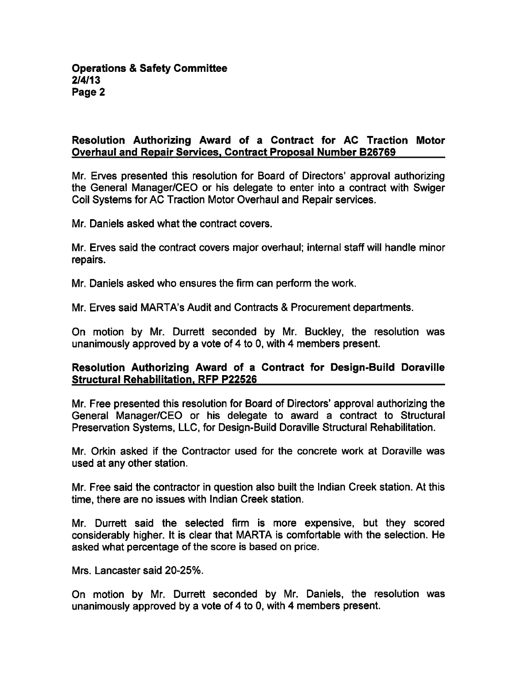## Resolution Authorizing Award of a Contract for AC Traction Motor Overhaul and Repair Services. Contract Proposal Number B26769

Mr. Erves presented this resolution for Board of Directors' approval authorizing the General Manager/CEO or his delegate to enter into a contract with Swiger Coil Systems for AC Traction Motor Overhaul and Repair services.

Mr. Daniels asked what the contract covers.

Mr. Erves said the contract covers major overhaul; internal staff will handle minor repairs.

Mr. Daniels asked who ensures the firm can perform the work.

Mr. Erves said MARTA's Audit and Contracts & Procurement departments.

On motion by Mr. Durrett seconded by Mr. Buckley, the resolution was unanimously approved by a vote of 4 to 0, with 4 members present.

#### Resolution Authorizing Award of a Contract for Design-Build Doraville Structural Rehabilitation. RFP P22526

Mr. Free presented this resolution for Board of Directors' approval authorizing the General Manager/CEO or his delegate to award a contract to Structural Preservation Systems, LLC, for Design-Build Doraville Structural Rehabilitation.

Mr. Orkin asked if the Contractor used for the concrete work at Doraville was used at any other station.

Mr. Free said the contractor in question also built the Indian Creek station. At this time, there are no issues with Indian Creek station.

Mr. Durrett said the selected firm is more expensive, but they scored considerably higher. It is clear that MARTA is comfortable with the selection. He asked what percentage of the score is based on price.

Mrs. Lancaster said 20-25%.

On motion by Mr. Durrett seconded by Mr. Daniels, the resolution was unanimously approved by a vote of 4 to 0, with 4 members present.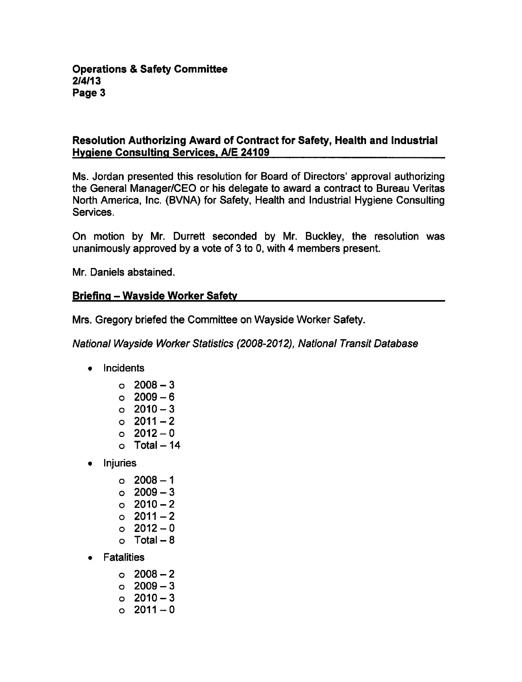# Resolution Authorizing Award of Contract for Safety, Health and Industrial Hygiene Consulting Services. A/E 24109

Ms. Jordan presented this resolution for Board of Directors' approval authorizing the General Manager/CEO or his delegate to award a contract to Bureau Veritas North America, Inc. (BVNA) for Safety, Health and Industrial Hygiene Consulting Services.

On motion by Mr. Durrett seconded by Mr. Buckley, the resolution was unanimously approved by a vote of 3 to 0, with 4 members present.

Mr. Daniels abstained.

# Briefing - Wayside Worker Safety

Mrs. Gregory briefed the Committee on Wayside Worker Safety.

National Wayside Worker Statistics (2008-2012), National Transit Database

- Incidents
	- $0.2008 3$
	- $0.2009 6$
	- $0.2010-3$
	- $02011-2$
	- $0.2012 0$
	- $\circ$  Total 14
- Injuries
	- $02008 1$
	- $02009 3$
	- $02010-2$
	- $0.2011 2$
	- $0.2012 0$
	- $\circ$  Total 8
- **Fatalities** 
	- $02008 2$
	- $0.2009 3$
	- $02010-3$
	- $0.2011 0$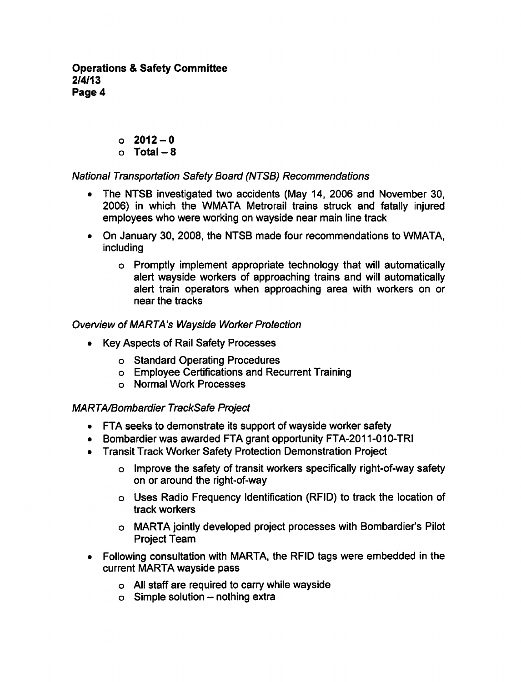- $0.2012 0$
- $O$  Total 8

# National Transportation Safety Board (NTSB) Recommendations

- The NTSB investigated two accidents (May 14, 2006 and November 30, 2006) in which the WMATA Metrorail trains struck and fatally injured employees who were working on wayside near main line track
- On January 30, 2008, the NTSB made four recommendations to WMATA, including
	- Promptly implement appropriate technology that will automatically alert wayside workers of approaching trains and will automatically alert train operators when approaching area with workers on or near the tracks

# Overview of MARTA's Wayside Worker Protection

- Key Aspects of Rail Safety Processes
	- o Standard Operating Procedures
	- Employee Certifications and Recurrent Training
	- Normal Work Processes

# MARTA/Bombardier TrackSafe Project

- FTA seeks to demonstrate its support of wayside worker safety
- Bombardier was awarded FTA grant opportunity FTA-2011 -010-TRI
- Transit Track Worker Safety Protection Demonstration Project
	- o Improve the safety of transit workers specifically right-of-way safety on or around the right-of-way
	- Uses Radio Frequency Identification (RFID) to track the location of track workers
	- MARTA jointly developed project processes with Bombardier's Pilot Project Team
- Following consultation with MARTA, the RFID tags were embedded in the  $\bullet$ current MARTA wayside pass
	- All staff are required to carry while wayside
	- $\circ$  Simple solution nothing extra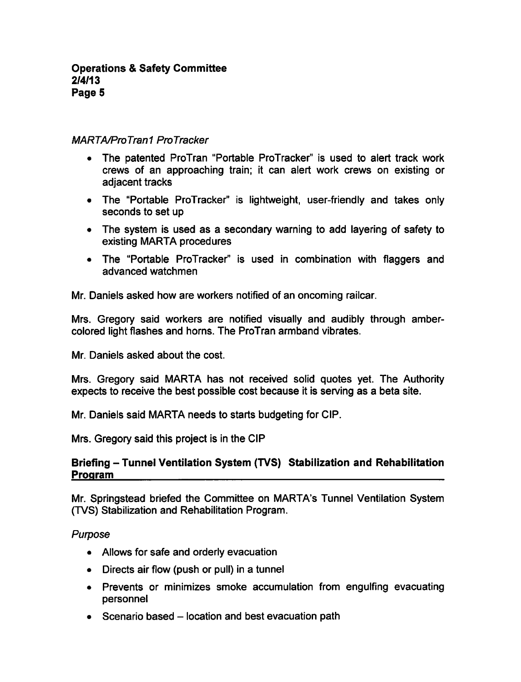## MARTA/ProTran1 ProTracker

- The patented ProTran "Portable ProTracker" is used to alert track work  $\bullet$ crews of an approaching train; it can alert work crews on existing or adjacent tracks
- The "Portable ProTracker" is lightweight, user-friendly and takes only seconds to set up
- The system is used as a secondary warning to add layering of safety to existing MARTA procedures
- The "Portable ProTracker" is used in combination with flaggers and  $\bullet$ advanced watchmen

Mr. Daniels asked how are workers notified of an oncoming railcar.

Mrs. Gregory said workers are notified visually and audibly through ambercolored light flashes and horns. The ProTran armband vibrates.

Mr. Daniels asked about the cost.

Mrs. Gregory said MARTA has not received solid quotes yet. The Authority expects to receive the best possible cost because it is serving as a beta site.

Mr. Daniels said MARTA needs to starts budgeting for CIP.

Mrs. Gregory said this project is in the CIP

# Briefing - Tunnel Ventilation System (TVS) Stabilization and Rehabilitation Program

Mr. Springstead briefed the Committee on MARTA's Tunnel Ventilation System (TVS) Stabilization and Rehabilitation Program.

### Purpose

- Allows for safe and orderly evacuation
- $\bullet$  Directs air flow (push or pull) in a tunnel
- Prevents or minimizes smoke accumulation from engulfing evacuating personnel
- $\bullet$  Scenario based  $-$  location and best evacuation path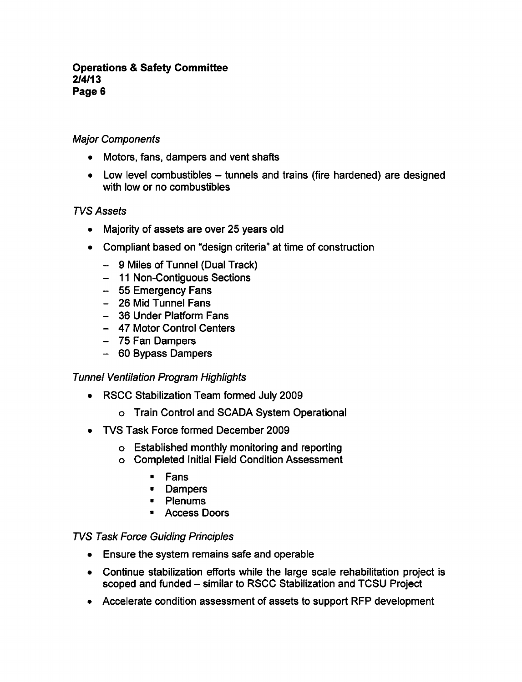## Major Components

- Motors, fans, dampers and vent shafts
- Low level combustibles tunnels and trains (fire hardened) are designed with low or no combustibles

# TVS Assets

- Majority of assets are over 25 years old
- Compliant based on "design criteria" at time of construction
	- $-$  9 Miles of Tunnel (Dual Track)
	- 11 Non-Contiguous Sections
	- 55 Emergency Fans
	- 26 Mid Tunnel Fans
	- 36 Under Platform Fans
	- 47 Motor Control Centers
	- 75 Fan Dampers
	- 60 Bypass Dampers

### Tunnel Ventilation Program Highlights

- RSCC Stabilization Team formed July 2009
	- Train Control and SCADA System Operational
- TVS Task Force formed December 2009  $\bullet$ 
	- Established monthly monitoring and reporting
	- Completed Initial Field Condition Assessment
		- Fans  $\blacksquare$
		- **•** Dampers
		- Plenums  $\blacksquare$
		- $\blacksquare$ Access Doors

### TVS Task Force Guiding Principles

- Ensure the system remains safe and operable
- Continue stabilization efforts while the large scale rehabilitation project is scoped and funded - similar to RSCC Stabilization and TCSU Project
- Accelerate condition assessment of assets to support RFP development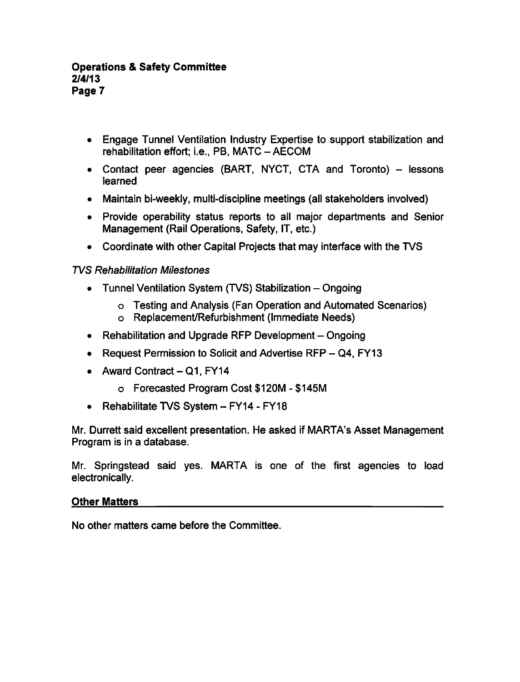- Engage Tunnel Ventilation Industry Expertise to support stabilization and rehabilitation effort; i.e., PB, MATC-AECOM
- Contact peer agencies (BART, NYCT, CTA and Toronto)  $-$  lessons learned
- Maintain bi-weekly, multi-discipline meetings (all stakeholders involved)
- Provide operability status reports to all major departments and Senior Management (Rail Operations, Safety, IT, etc.)
- Coordinate with other Capital Projects that may interface with the TVS

## TVS Rehabilitation Milestones

- Tunnel Ventilation System (TVS) Stabilization  $-$  Ongoing
	- Testing and Analysis (Fan Operation and Automated Scenarios)
	- Replacement/Refurbishment (Immediate Needs)
- Rehabilitation and Upgrade RFP Development Ongoing
- Request Permission to Solicit and Advertise RFP  $-$  Q4, FY13
- Award Contract  $-Q1$ , FY14
	- o Forecasted Program Cost \$120M \$145M
- Rehabilitate TVS System  $-$  FY14 FY18

Mr. Durrett said excellent presentation. He asked if MARTA's Asset Management Program is in a database.

Mr. Springstead said yes. MARTA is one of the first agencies to load electronically.

## Other Matters

No other matters came before the Committee.